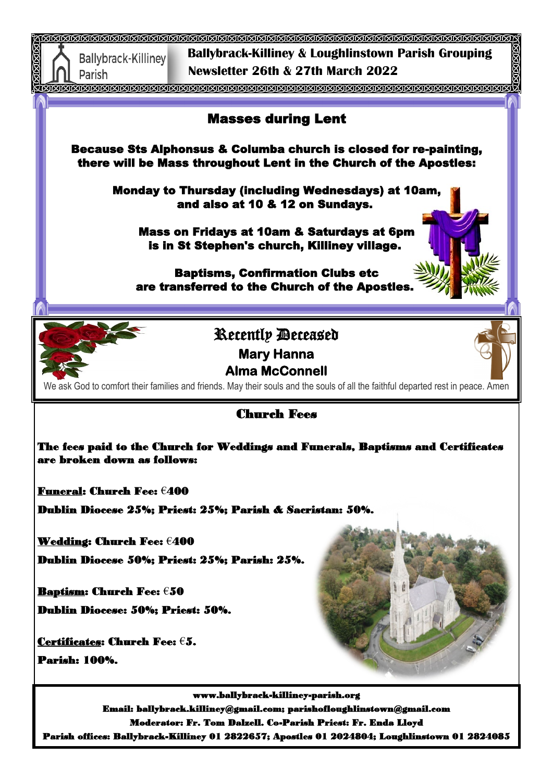

Parish offices: Ballybrack-Killiney 01 2822657; Apostles 01 2024804; Loughlinstown 01 2824085